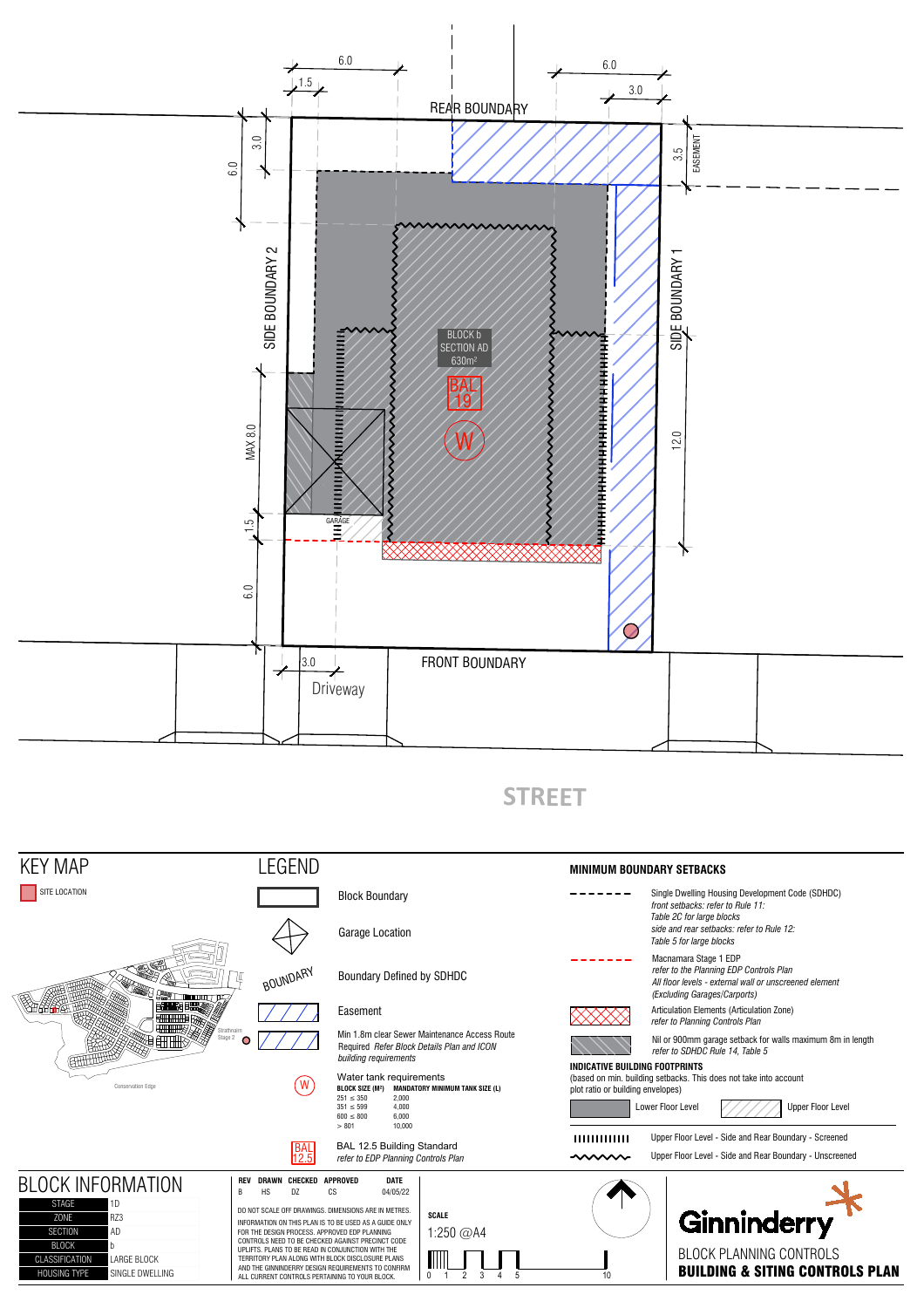

## **STREET**